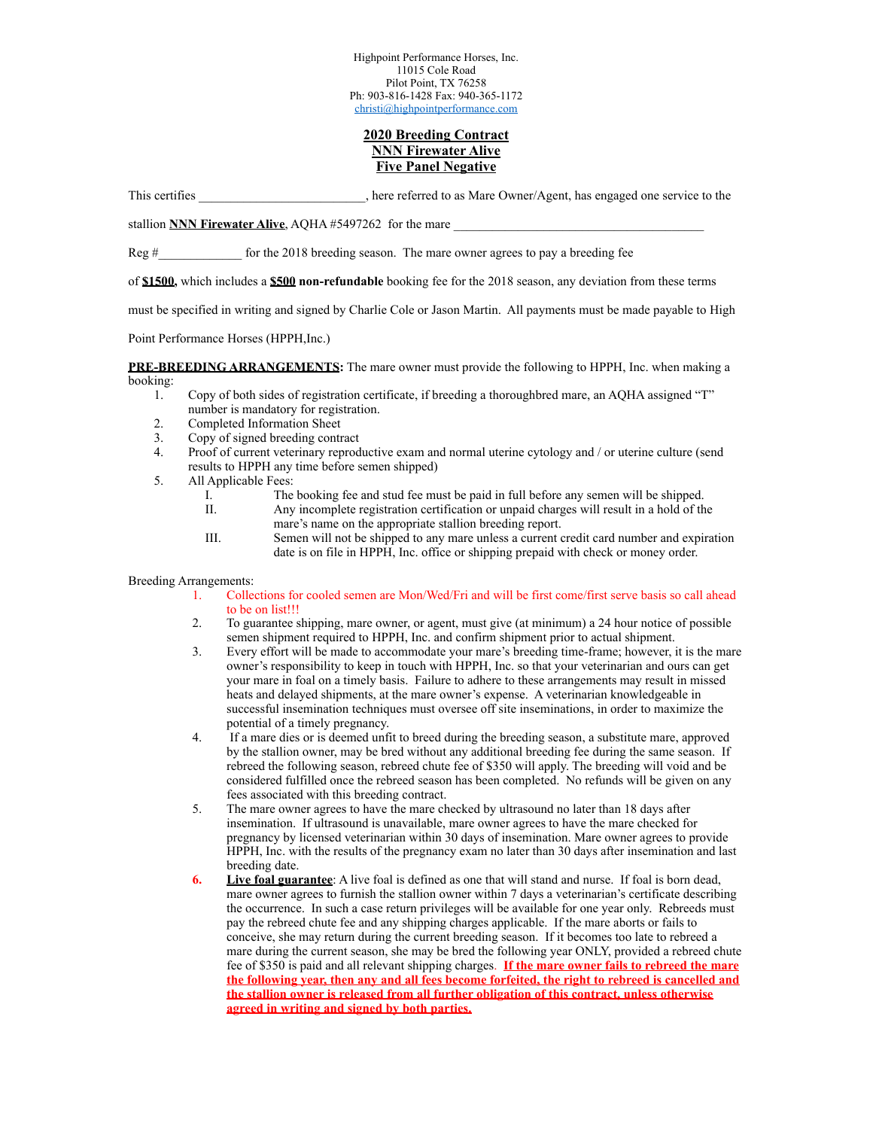Highpoint Performance Horses, Inc. 11015 Cole Road Pilot Point, TX 76258 Ph: 903-816-1428 Fax: 940-365-1172 [christi@highpointperformance.com](mailto:christi@highpointperformance.com)

# **2020 Breeding Contract NNN Firewater Alive Five Panel Negative**

This certifies here referred to as Mare Owner/Agent, has engaged one service to the

stallion **NNN Firewater Alive**, AQHA #5497262 for the mare

Reg  $\#$  for the 2018 breeding season. The mare owner agrees to pay a breeding fee

of **\$1500,** which includes a **\$500 non-refundable** booking fee for the 2018 season, any deviation from these terms

must be specified in writing and signed by Charlie Cole or Jason Martin. All payments must be made payable to High

Point Performance Horses (HPPH,Inc.)

**PRE-BREEDING ARRANGEMENTS:** The mare owner must provide the following to HPPH, Inc. when making a booking:

- 1. Copy of both sides of registration certificate, if breeding a thoroughbred mare, an AQHA assigned "T" number is mandatory for registration.
- 2. Completed Information Sheet
- 3. Copy of signed breeding contract
- 4. Proof of current veterinary reproductive exam and normal uterine cytology and / or uterine culture (send results to HPPH any time before semen shipped)
- 5. All Applicable Fees:
	- I. The booking fee and stud fee must be paid in full before any semen will be shipped.<br>II. Any incomplete registration certification or unpaid charges will result in a hold of the
	- Any incomplete registration certification or unpaid charges will result in a hold of the mare's name on the appropriate stallion breeding report.
	- III. Semen will not be shipped to any mare unless a current credit card number and expiration date is on file in HPPH, Inc. office or shipping prepaid with check or money order.

## Breeding Arrangements:

- 1. Collections for cooled semen are Mon/Wed/Fri and will be first come/first serve basis so call ahead to be on list!!!
- 2. To guarantee shipping, mare owner, or agent, must give (at minimum) a 24 hour notice of possible semen shipment required to HPPH, Inc. and confirm shipment prior to actual shipment.
- 3. Every effort will be made to accommodate your mare's breeding time-frame; however, it is the mare owner's responsibility to keep in touch with HPPH, Inc. so that your veterinarian and ours can get your mare in foal on a timely basis. Failure to adhere to these arrangements may result in missed heats and delayed shipments, at the mare owner's expense. A veterinarian knowledgeable in successful insemination techniques must oversee off site inseminations, in order to maximize the potential of a timely pregnancy.
- 4. If a mare dies or is deemed unfit to breed during the breeding season, a substitute mare, approved by the stallion owner, may be bred without any additional breeding fee during the same season. If rebreed the following season, rebreed chute fee of \$350 will apply. The breeding will void and be considered fulfilled once the rebreed season has been completed. No refunds will be given on any fees associated with this breeding contract.
- 5. The mare owner agrees to have the mare checked by ultrasound no later than 18 days after insemination. If ultrasound is unavailable, mare owner agrees to have the mare checked for pregnancy by licensed veterinarian within 30 days of insemination. Mare owner agrees to provide HPPH, Inc. with the results of the pregnancy exam no later than 30 days after insemination and last breeding date.
- **6. Live foal guarantee**: A live foal is defined as one that will stand and nurse. If foal is born dead, mare owner agrees to furnish the stallion owner within 7 days a veterinarian's certificate describing the occurrence. In such a case return privileges will be available for one year only. Rebreeds must pay the rebreed chute fee and any shipping charges applicable. If the mare aborts or fails to conceive, she may return during the current breeding season. If it becomes too late to rebreed a mare during the current season, she may be bred the following year ONLY, provided a rebreed chute fee of \$350 is paid and all relevant shipping charges. **If the mare owner fails to rebreed the mare the following year, then any and all fees become forfeited, the right to rebreed is cancelled and the stallion owner is released from all further obligation of this contract, unless otherwise agreed in writing and signed by both parties.**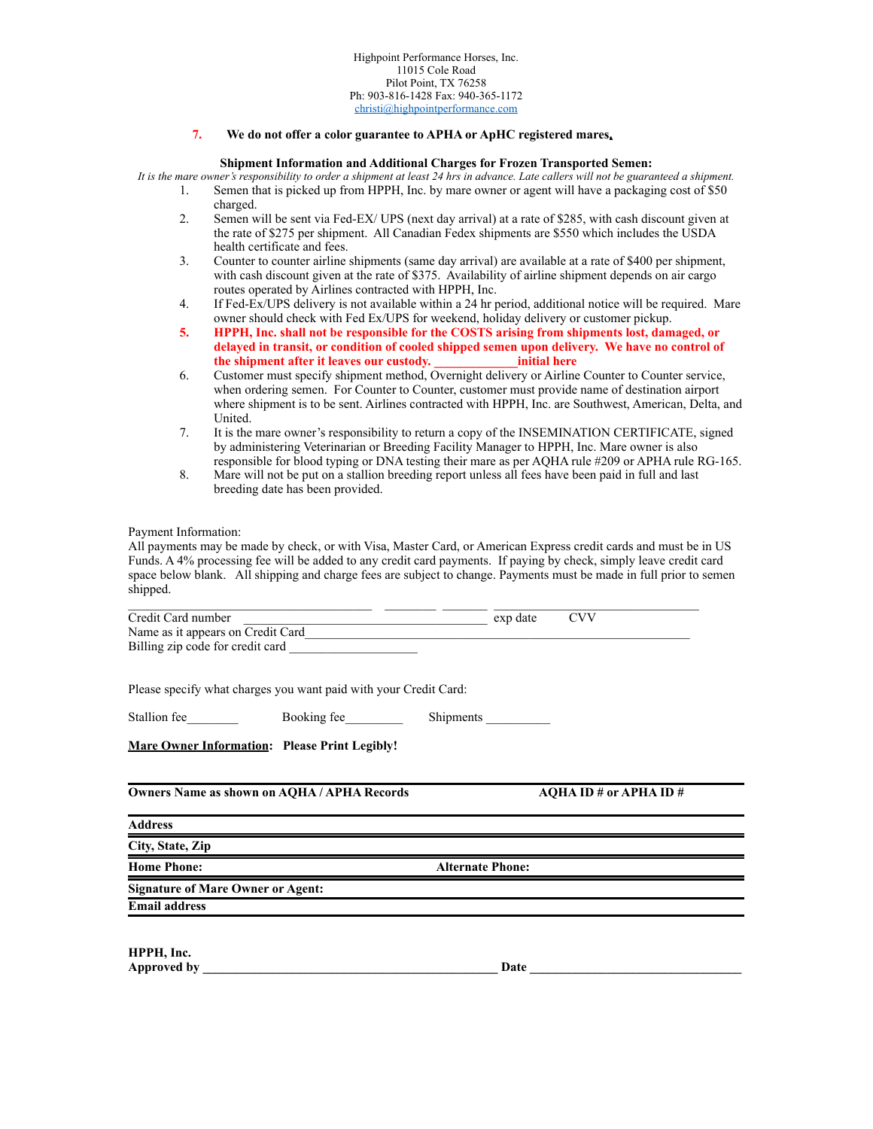### **7. We do not offer a color guarantee to APHA or ApHC registered mares.**

### **Shipment Information and Additional Charges for Frozen Transported Semen:**

*It is the mare owner's responsibility to order a shipment at least 24 hrs in advance. Late callers will not be guaranteed a shipment.*

- 1. Semen that is picked up from HPPH, Inc. by mare owner or agent will have a packaging cost of \$50 charged.
	- 2. Semen will be sent via Fed-EX/ UPS (next day arrival) at a rate of \$285, with cash discount given at the rate of \$275 per shipment. All Canadian Fedex shipments are \$550 which includes the USDA health certificate and fees.
	- 3. Counter to counter airline shipments (same day arrival) are available at a rate of \$400 per shipment, with cash discount given at the rate of \$375. Availability of airline shipment depends on air cargo routes operated by Airlines contracted with HPPH, Inc.
	- 4. If Fed-Ex/UPS delivery is not available within a 24 hr period, additional notice will be required. Mare owner should check with Fed Ex/UPS for weekend, holiday delivery or customer pickup.
	- **5. HPPH, Inc. shall not be responsible for the COSTS arising from shipments lost, damaged, or delayed in transit, or condition of cooled shipped semen upon delivery. We have no control of the shipment after it leaves our custody. \_\_\_\_\_\_\_\_\_\_\_\_\_initial here**
	- 6. Customer must specify shipment method, Overnight delivery or Airline Counter to Counter service, when ordering semen. For Counter to Counter, customer must provide name of destination airport where shipment is to be sent. Airlines contracted with HPPH, Inc. are Southwest, American, Delta, and United.
	- 7. It is the mare owner's responsibility to return a copy of the INSEMINATION CERTIFICATE, signed by administering Veterinarian or Breeding Facility Manager to HPPH, Inc. Mare owner is also responsible for blood typing or DNA testing their mare as per AQHA rule #209 or APHA rule RG-165.
	- 8. Mare will not be put on a stallion breeding report unless all fees have been paid in full and last breeding date has been provided.

#### Payment Information:

All payments may be made by check, or with Visa, Master Card, or American Express credit cards and must be in US Funds. A 4% processing fee will be added to any credit card payments. If paying by check, simply leave credit card space below blank. All shipping and charge fees are subject to change. Payments must be made in full prior to semen shipped.

| Credit Card number                                                                                                                                                                                                             | <b>CVV</b>                                                 |
|--------------------------------------------------------------------------------------------------------------------------------------------------------------------------------------------------------------------------------|------------------------------------------------------------|
| Name as it appears on Credit Card                                                                                                                                                                                              | exp date exp date                                          |
|                                                                                                                                                                                                                                |                                                            |
|                                                                                                                                                                                                                                |                                                            |
| Please specify what charges you want paid with your Credit Card:                                                                                                                                                               |                                                            |
| Stallion fee Booking fee                                                                                                                                                                                                       | Shipments                                                  |
| <b>Mare Owner Information: Please Print Legibly!</b>                                                                                                                                                                           |                                                            |
| <b>Owners Name as shown on AOHA/APHA Records</b>                                                                                                                                                                               | AOHA ID # or APHA ID #                                     |
| <b>Address</b>                                                                                                                                                                                                                 |                                                            |
| City, State, Zip                                                                                                                                                                                                               |                                                            |
| <b>Home Phone:</b>                                                                                                                                                                                                             | <b>Alternate Phone:</b>                                    |
| <b>Signature of Mare Owner or Agent:</b>                                                                                                                                                                                       | <u> 1989 - Johann Stoff, amerikansk politiker (* 1908)</u> |
| <b>Email address</b>                                                                                                                                                                                                           |                                                            |
|                                                                                                                                                                                                                                |                                                            |
| HPPH, Inc.                                                                                                                                                                                                                     |                                                            |
| Approved by the contract of the contract of the contract of the contract of the contract of the contract of the contract of the contract of the contract of the contract of the contract of the contract of the contract of th |                                                            |
|                                                                                                                                                                                                                                |                                                            |